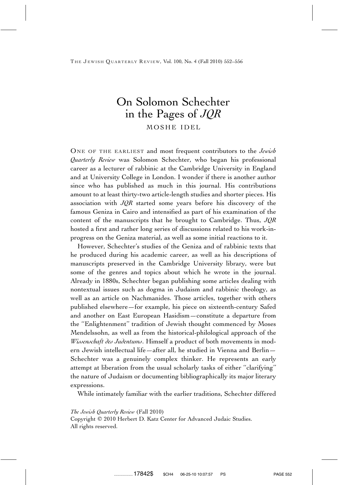THE JEWISH QUARTERLY REVIEW, Vol. 100, No. 4 (Fall 2010) 552-556

# On Solomon Schechter in the Pages of *JQR* MOSHE IDEL

ONE OF THE EARLIEST and most frequent contributors to the *Jewish Quarterly Review* was Solomon Schechter, who began his professional career as a lecturer of rabbinic at the Cambridge University in England and at University College in London. I wonder if there is another author since who has published as much in this journal. His contributions amount to at least thirty-two article-length studies and shorter pieces. His association with *JQR* started some years before his discovery of the famous Geniza in Cairo and intensified as part of his examination of the content of the manuscripts that he brought to Cambridge. Thus, *JQR* hosted a first and rather long series of discussions related to his work-inprogress on the Geniza material, as well as some initial reactions to it.

However, Schechter's studies of the Geniza and of rabbinic texts that he produced during his academic career, as well as his descriptions of manuscripts preserved in the Cambridge University library, were but some of the genres and topics about which he wrote in the journal. Already in 1880s, Schechter began publishing some articles dealing with nontextual issues such as dogma in Judaism and rabbinic theology, as well as an article on Nachmanides. Those articles, together with others published elsewhere—for example, his piece on sixteenth-century Safed and another on East European Hasidism—constitute a departure from the ''Enlightenment'' tradition of Jewish thought commenced by Moses Mendelssohn, as well as from the historical-philological approach of the *Wissenschaft des Judentums*. Himself a product of both movements in modern Jewish intellectual life—after all, he studied in Vienna and Berlin— Schechter was a genuinely complex thinker. He represents an early attempt at liberation from the usual scholarly tasks of either ''clarifying'' the nature of Judaism or documenting bibliographically its major literary expressions.

While intimately familiar with the earlier traditions, Schechter differed

## *The Jewish Quarterly Review* (Fall 2010)

Copyright © 2010 Herbert D. Katz Center for Advanced Judaic Studies. All rights reserved.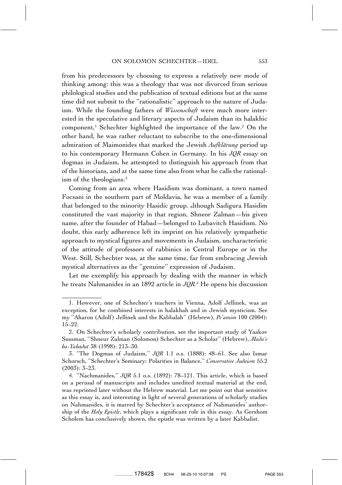### ON SOLOMON SCHECHTER-IDEL 553

from his predecessors by choosing to express a relatively new mode of thinking among: this was a theology that was not divorced from serious philological studies and the publication of textual editions but at the same time did not submit to the ''rationalistic'' approach to the nature of Judaism. While the founding fathers of *Wissenschaft* were much more interested in the speculative and literary aspects of Judaism than its halakhic component,<sup>1</sup> Schechter highlighted the importance of the law.<sup>2</sup> On the other hand, he was rather reluctant to subscribe to the one-dimensional admiration of Maimonides that marked the Jewish *Aufklärung* period up to his contemporary Hermann Cohen in Germany. In his *JQR* essay on dogmas in Judaism, he attempted to distinguish his approach from that of the historians, and at the same time also from what he calls the rationalism of the theologians.<sup>3</sup>

Coming from an area where Hasidism was dominant, a town named Focsani in the southern part of Moldavia, he was a member of a family that belonged to the minority Hasidic group. although Sadigura Hasidim constituted the vast majority in that region, Shneor Zalman—his given name, after the founder of Habad—belonged to Lubavitch Hasidism. No doubt, this early adherence left its imprint on his relatively sympathetic approach to mystical figures and movements in Judaism, uncharacteristic of the attitude of professors of rabbinics in Central Europe or in the West. Still, Schechter was, at the same time, far from embracing Jewish mystical alternatives as the ''genuine'' expression of Judaism.

Let me exemplify his approach by dealing with the manner in which he treats Nahmanides in an 1892 article in *JQR.*<sup>4</sup> He opens his discussion

<sup>1.</sup> However, one of Schechter's teachers in Vienna, Adolf Jellinek, was an exception, for he combined interests in halakhah and in Jewish mysticism. See my ''Aharon (Adolf) Jellinek and the Kabbalah'' (Hebrew), *Pe'amim* 100 (2004): 15–22.

<sup>2.</sup> On Schechter's scholarly contribution, see the important study of Yaakov Sussman, ''Shneur Zalman (Solomon) Schechter as a Scholar'' (Hebrew), *Mada'e ha-Yahadut* 38 (1998): 213–30.

<sup>3. &#</sup>x27;'The Dogmas of Judaism,'' *JQR* 1.1 o.s. (1888): 48–61. See also Ismar Schorsch, ''Schechter's Seminary: Polarities in Balance,'' *Conservative Judaism* 55.2 (2003): 3–23.

<sup>4. &#</sup>x27;'Nachmanides,'' *JQR* 5.1 o.s. (1892): 78–121. This article, which is based on a perusal of manuscripts and includes unedited textual material at the end, was reprinted later without the Hebrew material. Let me point out that sensitive as this essay is, and interesting in light of several generations of scholarly studies on Nahmanides, it is marred by Schechter's acceptance of Nahmanides' authorship of the *Holy Epistle*, which plays a significant role in this essay. As Gershom Scholem has conclusively shown, the epistle was written by a later Kabbalist.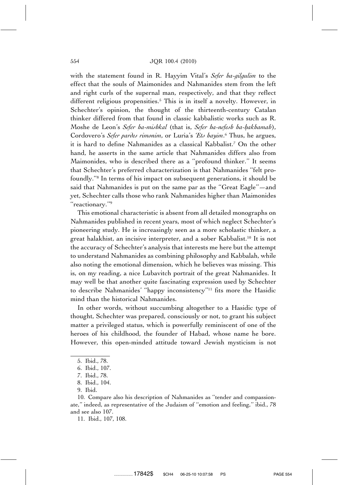## 554 JQR 100.4 (2010)

with the statement found in R. Hayyim Vital's *Sefer ha-gilgulim* to the effect that the souls of Maimonides and Nahmanides stem from the left and right curls of the supernal man, respectively, and that they reflect different religious propensities.<sup>5</sup> This is in itself a novelty. However, in Schechter's opinion, the thought of the thirteenth-century Catalan thinker differed from that found in classic kabbalistic works such as R. Moshe de Leon's *Sefer ha-mishkal* (that is, *Sefer ha-nefesh ha-hakhamah*), Cordovero's *Sefer pardes rimonim*, or Luria's *'Ets hayim*. <sup>6</sup> Thus, he argues, it is hard to define Nahmanides as a classical Kabbalist.7 On the other hand, he asserts in the same article that Nahmanides differs also from Maimonides, who is described there as a ''profound thinker.'' It seems that Schechter's preferred characterization is that Nahmanides ''felt profoundly.''8 In terms of his impact on subsequent generations, it should be said that Nahmanides is put on the same par as the ''Great Eagle''—and yet, Schechter calls those who rank Nahmanides higher than Maimonides ''reactionary.''9

This emotional characteristic is absent from all detailed monographs on Nahmanides published in recent years, most of which neglect Schechter's pioneering study. He is increasingly seen as a more scholastic thinker, a great halakhist, an incisive interpreter, and a sober Kabbalist.10 It is not the accuracy of Schechter's analysis that interests me here but the attempt to understand Nahmanides as combining philosophy and Kabbalah, while also noting the emotional dimension, which he believes was missing. This is, on my reading, a nice Lubavitch portrait of the great Nahmanides. It may well be that another quite fascinating expression used by Schechter to describe Nahmanides' ''happy inconsistency''11 fits more the Hasidic mind than the historical Nahmanides.

In other words, without succumbing altogether to a Hasidic type of thought, Schechter was prepared, consciously or not, to grant his subject matter a privileged status, which is powerfully reminiscent of one of the heroes of his childhood, the founder of Habad, whose name he bore. However, this open-minded attitude toward Jewish mysticism is not

<sup>5.</sup> Ibid., 78.

<sup>6.</sup> Ibid., 107.

<sup>7.</sup> Ibid., 78.

<sup>8.</sup> Ibid., 104.

<sup>9.</sup> Ibid.

<sup>10.</sup> Compare also his description of Nahmanides as ''tender and compassionate,'' indeed, as representative of the Judaism of ''emotion and feeling,'' ibid., 78 and see also 107.

<sup>11.</sup> Ibid., 107, 108.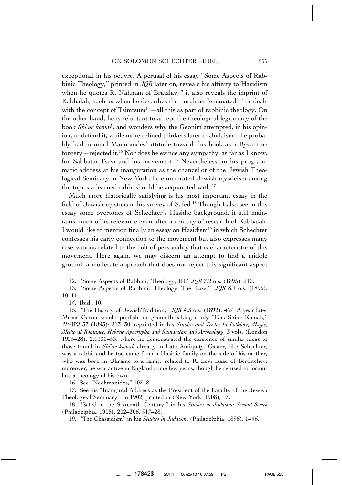exceptional in his oeuvre. A perusal of his essay ''Some Aspects of Rabbinic Theology,'' printed in *JQR* later on, reveals his affinity to Hasidism when he quotes R. Nahman of Bratzlav;<sup>12</sup> it also reveals the imprint of Kabbalah, such as when he describes the Torah as ''emanated''13 or deals with the concept of  $T\text{sim}$ tsum<sup>14</sup>—all this as part of rabbinic theology. On the other hand, he is reluctant to accept the theological legitimacy of the book *Shi'ur komah*, and wonders why the Geonim attempted, in his opinion, to defend it, while more refined thinkers later in Judaism—he probably had in mind Maimonides' attitude toward this book as a Byzantine forgery—rejected it.15 Nor does he evince any sympathy, as far as I know, for Sabbatai Tsevi and his movement.<sup>16</sup> Nevertheless, in his programmatic address at his inauguration as the chancellor of the Jewish Theological Seminary in New York, he enumerated Jewish mysticism among the topics a learned rabbi should be acquainted with.<sup>17</sup>

Much more historically satisfying is his most important essay in the field of Jewish mysticism, his survey of Safed.18 Though I also see in this essay some overtones of Schechter's Hasidic background, it still maintains much of its relevance even after a century of research of Kabbalah. I would like to mention finally an essay on Hasidism<sup>19</sup> in which Schechter confesses his early connection to the movement but also expresses many reservations related to the cult of personality that is characteristic of this movement. Here again, we may discern an attempt to find a middle ground, a moderate approach that does not reject this significant aspect

16. See ''Nachmanides,'' 107–8.

17. See his ''Inaugural Address as the President of the Faculty of the Jewish Theological Seminary,'' in 1902, printed in (New York, 1908), 17.

<sup>12. &#</sup>x27;'Some Aspects of Rabbinic Theology, III,'' *JQR* 7.2 o.s. (1895): 213.

<sup>13. &#</sup>x27;'Some Aspects of Rabbinic Theology: The 'Law,' '' *JQR* 8.1 o.s. (1895): 10–11.

<sup>14.</sup> Ibid., 10.

<sup>15. &#</sup>x27;'The History of JewishTradition,'' *JQR* 4.3 o.s. (1892): 467. A year later Moses Gaster would publish his groundbreaking study ''Das Shiur Komah,'' *MGWJ* 37 (1893): 213–30, reprinted in his *Studies and Texts: In Folklore, Magic, Medieval Romance, Hebrew Apocrypha and Samaritan and Archeology*, 3 vols. (London 1925–28), 2:1330–53, where he demonstrated the existence of similar ideas to those found in *Shi'ur komah* already in Late Antiquity. Gaster, like Schechter, was a rabbi, and he too came from a Hasidic family on the side of his mother, who was born in Ukraine to a family related to R. Levi Isaac of Berditchev; moreover, he was active in England some few years, though he refused to formulate a theology of his own.

<sup>18. &#</sup>x27;'Safed in the Sixteenth Century,'' in his *Studies in Judaism: Second Series* (Philadelphia, 1908), 202–306, 317–28.

<sup>19. &#</sup>x27;'The Chassidism'' in his *Studies in Judaism*, (Philadelphia, 1896), 1–46.